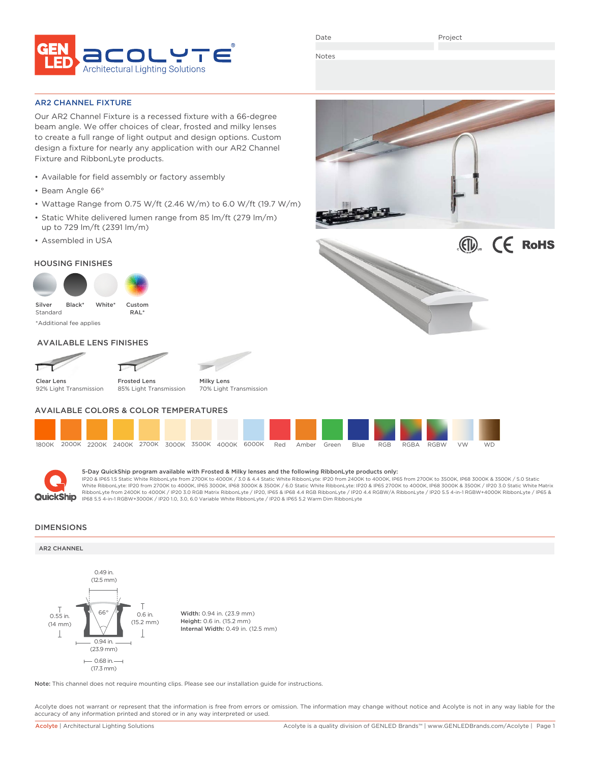

Date

Project

Notes

AR2 CHANNEL FIXTURE

Our AR2 Channel Fixture is a recessed fixture with a 66-degree beam angle. We offer choices of clear, frosted and milky lenses to create a full range of light output and design options. Custom design a fixture for nearly any application with our AR2 Channel Fixture and RibbonLyte products.

- Available for field assembly or factory assembly
- Beam Angle 66°
- Wattage Range from 0.75 W/ft (2.46 W/m) to 6.0 W/ft (19.7 W/m)
- Static White delivered lumen range from 85 lm/ft (279 lm/m) up to 729 lm/ft (2391 lm/m)
- Assembled in USA

### HOUSING FINISHES



AVAILABLE LENS FINISHES



Clear Lens 92% Light Transmission

Frosted Lens 85% Light Transmission

Milky Lens 70% Light Transmission

## AVAILABLE COLORS & COLOR TEMPERATURES





### 5-Day QuickShip program available with Frosted & Milky lenses and the following RibbonLyte products only:

IP20 & IP65 1.5 Static White RibbonLyte from 2700K to 4000K / 3.0 & 4.4 Static White RibbonLyte: IP20 from 2400K to 4000K, IP65 from 2700K to 3500K, IP68 3000K & 3500K / 5.0 Static White RibbonLyte: IP20 from 2700K to 4000K, IP65 3000K, IP68 3000K & 3500K / 6.0 Static White RibbonLyte: IP20 & IP65 2700K to 4000K, IP68 3000K & 3500K / IP20 3.0 Static White Matrix RibbonLyte from 2400K to 4000K / IP20 3.0 RGB Matrix RibbonLyte / IP20, IP65 & IP68 4.4 RGB MbonLyte / IP20 4.4 RGBW/A RibbonLyte / IP20 5.5 4-in-1 RGBW+4000K RibbonLyte / IP65 &<br>IP68 5.5 4-in-1 RGBW+3000K / IP20 1.0, 3.0,

### DIMENSIONS

### AR2 CHANNEL



Note: This channel does not require mounting clips. Please see our installation guide for instructions.

Acolyte does not warrant or represent that the information is free from errors or omission. The information may change without notice and Acolyte is not in any way liable for the accuracy of any information printed and stored or in any way interpreted or used.



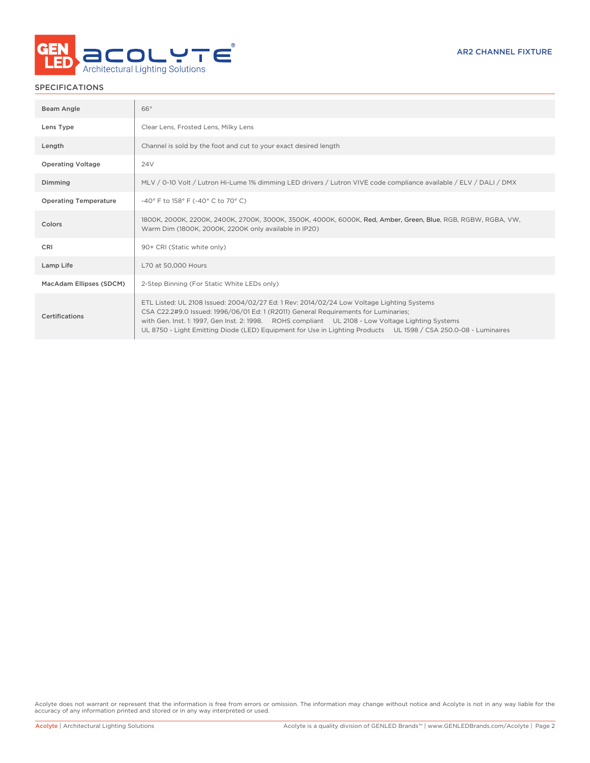

### SPECIFICATIONS

| Beam Angle                   | 66°                                                                                                                                                                                                                                                                                                                                                                                                      |
|------------------------------|----------------------------------------------------------------------------------------------------------------------------------------------------------------------------------------------------------------------------------------------------------------------------------------------------------------------------------------------------------------------------------------------------------|
| Lens Type                    | Clear Lens, Frosted Lens, Milky Lens                                                                                                                                                                                                                                                                                                                                                                     |
| Length                       | Channel is sold by the foot and cut to your exact desired length                                                                                                                                                                                                                                                                                                                                         |
| <b>Operating Voltage</b>     | 24V                                                                                                                                                                                                                                                                                                                                                                                                      |
| Dimming                      | MLV / 0-10 Volt / Lutron Hi-Lume 1% dimming LED drivers / Lutron VIVE code compliance available / ELV / DALI / DMX                                                                                                                                                                                                                                                                                       |
| <b>Operating Temperature</b> | -40° F to 158° F (-40° C to 70° C)                                                                                                                                                                                                                                                                                                                                                                       |
| Colors                       | 1800K, 2000K, 2200K, 2400K, 2700K, 3000K, 3500K, 4000K, 6000K, Red, Amber, Green, Blue, RGB, RGBW, RGBA, VW,<br>Warm Dim (1800K, 2000K, 2200K only available in IP20)                                                                                                                                                                                                                                    |
| CRI                          | 90+ CRI (Static white only)                                                                                                                                                                                                                                                                                                                                                                              |
| Lamp Life                    | L70 at 50,000 Hours                                                                                                                                                                                                                                                                                                                                                                                      |
| MacAdam Ellipses (SDCM)      | 2-Step Binning (For Static White LEDs only)                                                                                                                                                                                                                                                                                                                                                              |
| Certifications               | ETL Listed: UL 2108 Issued: 2004/02/27 Ed: 1 Rev: 2014/02/24 Low Voltage Lighting Systems<br>CSA C22.2#9.0 Issued: 1996/06/01 Ed: 1 (R2011) General Requirements for Luminaries;<br>with Gen. Inst. 1: 1997, Gen Inst. 2: 1998. ROHS compliant UL 2108 - Low Voltage Lighting Systems<br>UL 8750 - Light Emitting Diode (LED) Equipment for Use in Lighting Products UL 1598 / CSA 250.0-08 - Luminaires |

Acolyte does not warrant or represent that the information is free from errors or omission. The information may change without notice and Acolyte is not in any way liable for the accuracy of any information printed and stored or in any way interpreted or used.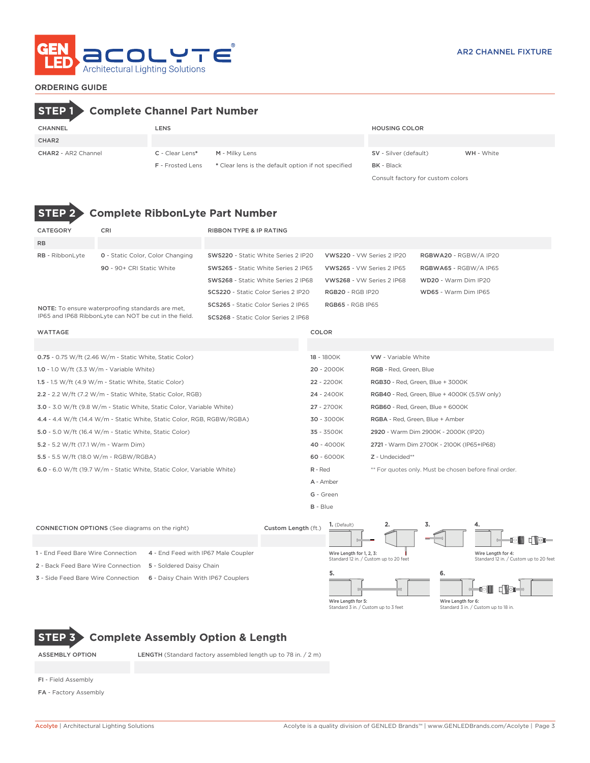

### ORDERING GUIDE

# CHANNEL LENS HOUSING COLOR CHAR2 **STEP 1 Complete Channel Part Number**

CHAR2 - AR2 Channel C - Clear Lens\* M - Milky Lens

| C - Clear Lens*         | M - Milky Lens                                      | SV - Silver (default)             | WH - White |
|-------------------------|-----------------------------------------------------|-----------------------------------|------------|
| <b>F</b> - Frosted Lens | * Clear lens is the default option if not specified | <b>BK</b> - Black                 |            |
|                         |                                                     | Consult factory for custom colors |            |

# **STEP 2 Complete RibbonLyte Part Number**

| <b>CATEGORY</b>                             | CRI                                                                    | <b>RIBBON TYPE &amp; IP RATING</b>  |                                      |                                           |                                                     |  |
|---------------------------------------------|------------------------------------------------------------------------|-------------------------------------|--------------------------------------|-------------------------------------------|-----------------------------------------------------|--|
| <b>RB</b>                                   |                                                                        |                                     |                                      |                                           |                                                     |  |
| RB - RibbonLyte                             | <b>0</b> - Static Color, Color Changing                                | SWS220 - Static White Series 2 IP20 |                                      | VWS220 - VW Series 2 IP20                 | RGBWA20 - RGBW/A IP20                               |  |
|                                             | 90 - 90+ CRI Static White                                              | SWS265 - Static White Series 2 IP65 |                                      | VWS265 - VW Series 2 IP65                 | RGBWA65 - RGBW/A IP65                               |  |
|                                             |                                                                        | SWS268 - Static White Series 2 IP68 |                                      | VWS268 - VW Series 2 IP68                 | WD20 - Warm Dim IP20                                |  |
|                                             |                                                                        | SCS220 - Static Color Series 2 IP20 | <b>RGB20 - RGB IP20</b>              |                                           | WD65 - Warm Dim IP65                                |  |
|                                             | <b>NOTE:</b> To ensure waterproofing standards are met,                | SCS265 - Static Color Series 2 IP65 | <b>RGB65 - RGB IP65</b>              |                                           |                                                     |  |
|                                             | IP65 and IP68 RibbonLyte can NOT be cut in the field.                  | SCS268 - Static Color Series 2 IP68 |                                      |                                           |                                                     |  |
| <b>WATTAGE</b>                              |                                                                        |                                     | COLOR                                |                                           |                                                     |  |
|                                             |                                                                        |                                     |                                      |                                           |                                                     |  |
|                                             | 0.75 - 0.75 W/ft (2.46 W/m - Static White, Static Color)               |                                     | 18 - 1800K                           | <b>VW</b> - Variable White                |                                                     |  |
| 1.0 - 1.0 W/ft $(3.3 W/m - Variable White)$ |                                                                        |                                     | 20 - 2000K<br>RGB - Red, Green, Blue |                                           |                                                     |  |
|                                             | 1.5 - 1.5 W/ft $(4.9 \text{ W/m}$ - Static White, Static Color)        |                                     | 22 - 2200K                           |                                           | RGB30 - Red, Green, Blue + 3000K                    |  |
|                                             | 2.2 - 2.2 W/ft (7.2 W/m - Static White, Static Color, RGB)             |                                     | 24 - 2400K                           |                                           | <b>RGB40</b> - Red, Green, Blue + 4000K (5.5W only) |  |
|                                             | 3.0 - 3.0 W/ft (9.8 W/m - Static White, Static Color, Variable White)  |                                     | 27 - 2700K                           | RGB60 - Red, Green, Blue + 6000K          |                                                     |  |
|                                             | 4.4 - 4.4 W/ft (14.4 W/m - Static White, Static Color, RGB, RGBW/RGBA) |                                     | 30 - 3000K                           | RGBA - Red, Green, Blue + Amber           |                                                     |  |
|                                             | 5.0 - 5.0 W/ft (16.4 W/m - Static White, Static Color)                 |                                     | 35 - 3500K                           | 2920 - Warm Dim 2900K - 2000K (IP20)      |                                                     |  |
| 5.2 - 5.2 W/ft (17.1 W/m - Warm Dim)        |                                                                        |                                     | 40 - 4000K                           | 2721 - Warm Dim 2700K - 2100K (IP65+IP68) |                                                     |  |

5.5 - 5.5 W/ft (18.0 W/m - RGBW/RGBA) 60 - 6000K Z - Undecided\*\*

6.0 - 6.0 W/ft (19.7 W/m - Static White, Static Color, Variable White) R - Red \*\* For quotes only. Must be chosen before final order.

G - Green

B - Blue **1.** (Default) **2.**

A - Amber



# **STEP 3 Complete Assembly Option & Length**

ASSEMBLY OPTION LENGTH (Standard factory assembled length up to 78 in. / 2 m)

- FI Field Assembly
- FA Factory Assembly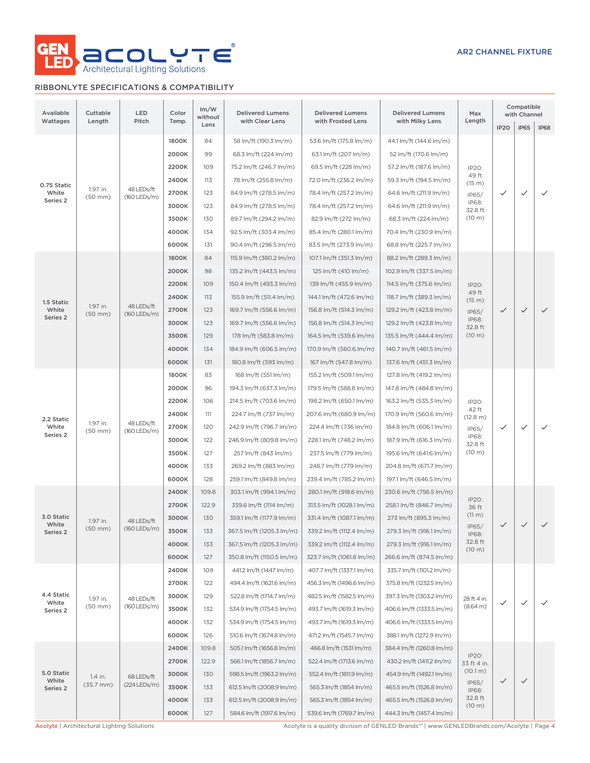

### RIBBONLYTE SPECIFICATIONS & COMPATIBILITY

| Available<br>Wattages                                        | Cuttable<br>Length       | LED<br>Pitch                 | Color<br>Temp. | Im/W<br>without<br>Lens | <b>Delivered Lumens</b><br>with Clear Lens     | <b>Delivered Lumens</b><br>with Frosted Lens | <b>Delivered Lumens</b><br>with Milky Lens | Max<br>Length                       |                        | Compatible<br>with Channel |                          |                          |  |  |  |  |  |       |       |                           |                           |                           |                          |                  |              |              |              |  |  |  |  |  |  |  |  |  |  |  |  |  |  |       |     |                        |                        |                          |
|--------------------------------------------------------------|--------------------------|------------------------------|----------------|-------------------------|------------------------------------------------|----------------------------------------------|--------------------------------------------|-------------------------------------|------------------------|----------------------------|--------------------------|--------------------------|--|--|--|--|--|-------|-------|---------------------------|---------------------------|---------------------------|--------------------------|------------------|--------------|--------------|--------------|--|--|--|--|--|--|--|--|--|--|--|--|--|--|-------|-----|------------------------|------------------------|--------------------------|
|                                                              |                          |                              |                |                         |                                                |                                              |                                            |                                     | <b>IP20</b>            | <b>IP65</b>                | <b>IP68</b>              |                          |  |  |  |  |  |       |       |                           |                           |                           |                          |                  |              |              |              |  |  |  |  |  |  |  |  |  |  |  |  |  |  |       |     |                        |                        |                          |
| 0.75 Static<br>1.97 in.<br>White<br>$(50$ mm $)$<br>Series 2 |                          |                              | 1800K          | 84                      | 58 lm/ft (190.3 lm/m)<br>68.3 lm/ft (224 lm/m) | 53.6 lm/ft (175.8 lm/m)                      | 44.1 lm/ft (144.6 lm/m)                    |                                     |                        |                            |                          |                          |  |  |  |  |  |       |       |                           |                           |                           |                          |                  |              |              |              |  |  |  |  |  |  |  |  |  |  |  |  |  |  |       |     |                        |                        |                          |
|                                                              |                          |                              | 2000K          | 99                      |                                                | 63.1 lm/ft (207 lm/m)                        | 52 lm/ft (170.6 lm/m)                      |                                     |                        |                            |                          |                          |  |  |  |  |  |       |       |                           |                           |                           |                          |                  |              |              |              |  |  |  |  |  |  |  |  |  |  |  |  |  |  |       |     |                        |                        |                          |
|                                                              |                          |                              | 2200K          | 109                     | 75.2 lm/ft (246.7 lm/m)                        | 69.5 lm/ft (228 lm/m)                        | 57.2 lm/ft (187.6 lm/m)                    | IP20:<br>49 ft                      |                        |                            |                          |                          |  |  |  |  |  |       |       |                           |                           |                           |                          |                  |              |              |              |  |  |  |  |  |  |  |  |  |  |  |  |  |  |       |     |                        |                        |                          |
|                                                              |                          | 48 LEDs/ft                   | 2400K          | 113                     | 78 lm/ft (255.8 lm/m)                          | 72.0 lm/ft (236.2 lm/m)                      | 59.3 lm/ft (194.5 lm/m)                    | (15 m)                              |                        |                            |                          |                          |  |  |  |  |  |       |       |                           |                           |                           |                          |                  |              |              |              |  |  |  |  |  |  |  |  |  |  |  |  |  |  |       |     |                        |                        |                          |
|                                                              |                          | (160 LEDs/m)                 | 2700K          | 123                     | 84.9 lm/ft (278.5 lm/m)                        | 78.4 lm/ft (257.2 lm/m)                      | 64.6 lm/ft (211.9 lm/m)                    | IP65/<br>IP68:                      | $\checkmark$           | $\checkmark$               | $\checkmark$             |                          |  |  |  |  |  |       |       |                           |                           |                           |                          |                  |              |              |              |  |  |  |  |  |  |  |  |  |  |  |  |  |  |       |     |                        |                        |                          |
|                                                              |                          |                              | 3000K          | 123                     | 84.9 lm/ft (278.5 lm/m)                        | 78.4 lm/ft (257.2 lm/m)                      | 64.6 lm/ft (211.9 lm/m)                    | 32.8 ft                             |                        |                            |                          |                          |  |  |  |  |  |       |       |                           |                           |                           |                          |                  |              |              |              |  |  |  |  |  |  |  |  |  |  |  |  |  |  |       |     |                        |                        |                          |
|                                                              |                          |                              | 3500K          | 130                     | 89.7 lm/ft (294.2 lm/m)                        | 82.9 lm/ft (272 lm/m)                        | 68.3 lm/ft (224 lm/m)                      | $(10 \text{ m})$                    |                        |                            |                          |                          |  |  |  |  |  |       |       |                           |                           |                           |                          |                  |              |              |              |  |  |  |  |  |  |  |  |  |  |  |  |  |  |       |     |                        |                        |                          |
|                                                              |                          | 4000K                        | 134            | 92.5 lm/ft (303.4 lm/m) | 85.4 lm/ft (280.1 lm/m)                        | 70.4 lm/ft (230.9 lm/m)                      |                                            |                                     |                        |                            |                          |                          |  |  |  |  |  |       |       |                           |                           |                           |                          |                  |              |              |              |  |  |  |  |  |  |  |  |  |  |  |  |  |  |       |     |                        |                        |                          |
|                                                              |                          |                              | 6000K          | 131                     | 90.4 lm/ft (296.5 lm/m)                        | 83.5 lm/ft (273.9 lm/m)                      | 68.8 lm/ft (225.7 lm/m)                    |                                     |                        |                            |                          |                          |  |  |  |  |  |       |       |                           |                           |                           |                          |                  |              |              |              |  |  |  |  |  |  |  |  |  |  |  |  |  |  |       |     |                        |                        |                          |
|                                                              |                          |                              | 1800K          | 84                      | 115.9 lm/ft (380.2 lm/m)                       | 107.1 lm/ft (351.3 lm/m)                     | 88.2 lm/ft (289.3 lm/m)                    |                                     |                        |                            |                          |                          |  |  |  |  |  |       |       |                           |                           |                           |                          |                  |              |              |              |  |  |  |  |  |  |  |  |  |  |  |  |  |  |       |     |                        |                        |                          |
|                                                              |                          |                              | 2000K          | 98                      | 135.2 lm/ft (443.5 lm/m)                       | 125 lm/ft (410 lm/m)                         | 102.9 lm/ft (337.5 lm/m)                   |                                     |                        |                            |                          |                          |  |  |  |  |  |       |       |                           |                           |                           |                          |                  |              |              |              |  |  |  |  |  |  |  |  |  |  |  |  |  |  |       |     |                        |                        |                          |
|                                                              |                          |                              | 2200K          | 109                     | 150.4 lm/ft (493.3 lm/m)                       | 139 lm/ft (455.9 lm/m)                       | 114.5 lm/ft (375.6 lm/m)                   | IP20:<br>49 ft                      |                        |                            |                          |                          |  |  |  |  |  |       |       |                           |                           |                           |                          |                  |              |              |              |  |  |  |  |  |  |  |  |  |  |  |  |  |  |       |     |                        |                        |                          |
| 1.5 Static                                                   | 1.97 in.                 | 48 LEDs/ft                   | 2400K          | 113                     | 155.9 lm/ft (511.4 lm/m)                       | 144.1 lm/ft (472.6 lm/m)                     | 118.7 lm/ft (389.3 lm/m)                   | (15 m)                              |                        |                            |                          |                          |  |  |  |  |  |       |       |                           |                           |                           |                          |                  |              |              |              |  |  |  |  |  |  |  |  |  |  |  |  |  |  |       |     |                        |                        |                          |
| White<br>Series <sub>2</sub>                                 | $(50$ mm $)$             | $(160$ LEDs/m)               | 2700K          | 123                     | 169.7 lm/ft (556.6 lm/m)                       | 156.8 lm/ft (514.3 lm/m)                     | 129.2 lm/ft (423.8 lm/m)                   | IP65/<br>IP68:                      | $\checkmark$           | $\checkmark$               | $\checkmark$             |                          |  |  |  |  |  |       |       |                           |                           |                           |                          |                  |              |              |              |  |  |  |  |  |  |  |  |  |  |  |  |  |  |       |     |                        |                        |                          |
|                                                              |                          |                              | 3000K          | 123                     | 169.7 lm/ft (556.6 lm/m)                       | 156.8 lm/ft (514.3 lm/m)                     | 129.2 lm/ft (423.8 lm/m)                   | 32.8 ft                             |                        |                            |                          |                          |  |  |  |  |  |       |       |                           |                           |                           |                          |                  |              |              |              |  |  |  |  |  |  |  |  |  |  |  |  |  |  |       |     |                        |                        |                          |
|                                                              |                          |                              | 3500K          | 129                     | 178 lm/ft (583.8 lm/m)                         | 164.5 lm/ft (539.6 lm/m)                     | 135.5 lm/ft (444.4 lm/m)                   | (10 m)                              |                        |                            |                          |                          |  |  |  |  |  |       |       |                           |                           |                           |                          |                  |              |              |              |  |  |  |  |  |  |  |  |  |  |  |  |  |  |       |     |                        |                        |                          |
|                                                              |                          |                              |                |                         |                                                |                                              |                                            | 4000K                               | 134                    | 184.9 lm/ft (606.5 lm/m)   | 170.9 lm/ft (560.6 lm/m) | 140.7 lm/ft (461.5 lm/m) |  |  |  |  |  |       |       |                           |                           |                           |                          |                  |              |              |              |  |  |  |  |  |  |  |  |  |  |  |  |  |  |       |     |                        |                        |                          |
|                                                              |                          |                              | 6000K          | 131                     | 180.8 lm/ft (593 lm/m)                         | 167 lm/ft (547.8 lm/m)                       | 137.6 lm/ft (451.3 lm/m)                   |                                     |                        |                            |                          |                          |  |  |  |  |  |       |       |                           |                           |                           |                          |                  |              |              |              |  |  |  |  |  |  |  |  |  |  |  |  |  |  |       |     |                        |                        |                          |
|                                                              |                          | 48 LEDs/ft<br>(160 LEDs/m)   | 1800K          | 83                      | 168 lm/ft (551 lm/m)                           | 155.2 lm/ft (509.1 lm/m)                     | 127.8 lm/ft (419.2 lm/m)                   |                                     |                        |                            |                          |                          |  |  |  |  |  |       |       |                           |                           |                           |                          |                  |              |              |              |  |  |  |  |  |  |  |  |  |  |  |  |  |  |       |     |                        |                        |                          |
|                                                              |                          |                              | 2000K          | 96                      | 194.3 lm/ft (637.3 lm/m)                       | 179.5 lm/ft (588.8 lm/m)                     | 147.8 lm/ft (484.8 lm/m)                   | IP20:<br>42 ft<br>(12.8 m)<br>IP65/ |                        |                            |                          |                          |  |  |  |  |  |       |       |                           |                           |                           |                          |                  |              |              |              |  |  |  |  |  |  |  |  |  |  |  |  |  |  |       |     |                        |                        |                          |
|                                                              |                          |                              | 2200K          | 106                     | 214.5 lm/ft (703.6 lm/m)                       | 198.2 lm/ft (650.1 lm/m)                     | 163.2 lm/ft (535.3 lm/m)                   |                                     |                        |                            |                          |                          |  |  |  |  |  |       |       |                           |                           |                           |                          |                  |              |              |              |  |  |  |  |  |  |  |  |  |  |  |  |  |  |       |     |                        |                        |                          |
| 2.2 Static                                                   |                          |                              | 2400K          | 111                     | 224.7 lm/ft (737 lm/m)                         | 207.6 lm/ft (680.9 lm/m)                     | 170.9 lm/ft (560.6 lm/m)                   |                                     |                        |                            |                          |                          |  |  |  |  |  |       |       |                           |                           |                           |                          |                  |              |              |              |  |  |  |  |  |  |  |  |  |  |  |  |  |  |       |     |                        |                        |                          |
| White                                                        | 1.97 in.<br>$(50$ mm $)$ |                              | 2700K          | 120                     | 242.9 lm/ft (796.7 lm/m)                       | 224.4 lm/ft (736 lm/m)                       | 184.8 lm/ft (606.1 lm/m)                   |                                     | ✓                      | $\checkmark$               | $\checkmark$             |                          |  |  |  |  |  |       |       |                           |                           |                           |                          |                  |              |              |              |  |  |  |  |  |  |  |  |  |  |  |  |  |  |       |     |                        |                        |                          |
| Series 2                                                     |                          |                              |                |                         |                                                |                                              |                                            |                                     |                        |                            |                          |                          |  |  |  |  |  |       | 3000K | 122                       | 246.9 lm/ft (809.8 lm/m)  | 228.1 lm/ft (748.2 lm/m)  | 187.9 lm/ft (616.3 lm/m) | IP68:<br>32.8 ft |              |              |              |  |  |  |  |  |  |  |  |  |  |  |  |  |  |       |     |                        |                        |                          |
|                                                              |                          |                              |                |                         |                                                | 3500K                                        | 127                                        | 257 lm/ft (843 lm/m)                | 237.5 lm/ft (779 lm/m) | 195.6 lm/ft (641.6 lm/m)   | $(10 \text{ m})$         |                          |  |  |  |  |  |       |       |                           |                           |                           |                          |                  |              |              |              |  |  |  |  |  |  |  |  |  |  |  |  |  |  |       |     |                        |                        |                          |
|                                                              |                          |                              |                |                         |                                                |                                              |                                            |                                     |                        |                            |                          |                          |  |  |  |  |  |       |       |                           |                           |                           |                          |                  |              |              |              |  |  |  |  |  |  |  |  |  |  |  |  |  |  | 4000K | 133 | 269.2 lm/ft (883 lm/m) | 248.7 lm/ft (779 lm/m) | 204.8 lm/ft (671.7 lm/m) |
|                                                              |                          |                              | 6000K          | 128                     | 259.1 lm/ft (849.8 lm/m)                       | 239.4 lm/ft (785.2 lm/m)                     | 197.1 lm/ft (646.5 lm/m)                   |                                     |                        |                            |                          |                          |  |  |  |  |  |       |       |                           |                           |                           |                          |                  |              |              |              |  |  |  |  |  |  |  |  |  |  |  |  |  |  |       |     |                        |                        |                          |
|                                                              |                          |                              | 2400K          | 109.8                   | 303.1 lm/ft (994.1 lm/m)                       | 280.1 lm/ft (918.6 lm/m)                     | 230.6 lm/ft (756.5 lm/m)                   |                                     |                        |                            |                          |                          |  |  |  |  |  |       |       |                           |                           |                           |                          |                  |              |              |              |  |  |  |  |  |  |  |  |  |  |  |  |  |  |       |     |                        |                        |                          |
|                                                              |                          | 48 LEDs/ft<br>$(160$ LEDs/m) | 2700K          | 122.9                   | 339.6 lm/ft (1114 lm/m)                        | 313.5 lm/ft (1028.1 lm/m)                    | 258.1 lm/ft (846.7 lm/m)                   | IP20:<br>36 ft                      |                        |                            |                          |                          |  |  |  |  |  |       |       |                           |                           |                           |                          |                  |              |              |              |  |  |  |  |  |  |  |  |  |  |  |  |  |  |       |     |                        |                        |                          |
| 3.0 Static                                                   | 1.97 in.                 |                              | 3000K          | 130                     | 359.1 lm/ft (1177.9 lm/m)                      | 331.4 lm/ft (1087.1 lm/m)                    | 273 lm/ft (895.3 lm/m)                     | (11 m)                              |                        |                            |                          |                          |  |  |  |  |  |       |       |                           |                           |                           |                          |                  |              |              |              |  |  |  |  |  |  |  |  |  |  |  |  |  |  |       |     |                        |                        |                          |
| White<br>Series 2                                            | $(50$ mm $)$             |                              |                |                         |                                                |                                              |                                            |                                     |                        |                            |                          |                          |  |  |  |  |  |       | 3500K | 133                       | 367.5 lm/ft (1205.3 lm/m) | 339.2 lm/ft (1112.4 lm/m) | 279.3 lm/ft (916.1 lm/m) | IP65/<br>IP68:   | $\checkmark$ | $\checkmark$ | $\checkmark$ |  |  |  |  |  |  |  |  |  |  |  |  |  |  |       |     |                        |                        |                          |
|                                                              |                          |                              |                |                         |                                                |                                              |                                            |                                     |                        |                            |                          |                          |  |  |  |  |  | 4000K | 133   | 367.5 lm/ft (1205.3 lm/m) | 339.2 lm/ft (1112.4 lm/m) | 279.3 lm/ft (916.1 lm/m)  | 32.8 ft                  |                  |              |              |              |  |  |  |  |  |  |  |  |  |  |  |  |  |  |       |     |                        |                        |                          |
|                                                              |                          |                              | 6000K          | 127                     | 350.8 lm/ft (1150.5 lm/m)                      | 323.7 lm/ft (1061.8 lm/m)                    | 266.6 lm/ft (874.5 lm/m)                   | (10 m)                              |                        |                            |                          |                          |  |  |  |  |  |       |       |                           |                           |                           |                          |                  |              |              |              |  |  |  |  |  |  |  |  |  |  |  |  |  |  |       |     |                        |                        |                          |
|                                                              |                          |                              | 2400K          | 109                     | 441.2 lm/ft (1447 lm/m)                        | 407.7 lm/ft (1337.1 lm/m)                    | 335.7 lm/ft (1101.2 lm/m)                  |                                     |                        |                            |                          |                          |  |  |  |  |  |       |       |                           |                           |                           |                          |                  |              |              |              |  |  |  |  |  |  |  |  |  |  |  |  |  |  |       |     |                        |                        |                          |
|                                                              |                          |                              | 2700K          | 122                     | 494.4 lm/ft (1621.6 lm/m)                      | 456.3 lm/ft (1496.6 lm/m)                    | 375.8 lm/ft (1232.5 lm/m)                  |                                     |                        |                            |                          |                          |  |  |  |  |  |       |       |                           |                           |                           |                          |                  |              |              |              |  |  |  |  |  |  |  |  |  |  |  |  |  |  |       |     |                        |                        |                          |
| 4.4 Static                                                   | 1.97 in.                 | 48 LEDs/ft                   | 3000K          | 129                     | 522.8 lm/ft (1714.7 lm/m)                      | 482.5 lm/ft (1582.5 lm/m)                    | 397.3 lm/ft (1303.2 lm/m)                  | 28 ft 4 in.                         |                        |                            |                          |                          |  |  |  |  |  |       |       |                           |                           |                           |                          |                  |              |              |              |  |  |  |  |  |  |  |  |  |  |  |  |  |  |       |     |                        |                        |                          |
| White<br>Series 2                                            | $(50$ mm $)$             | (160 LEDs/m)                 | 3500K          | 132                     | 534.9 lm/ft (1754.5 lm/m)                      | 493.7 lm/ft (1619.3 lm/m)                    | 406.6 lm/ft (1333.5 lm/m)                  | (8.64 m)                            | ✓                      | $\checkmark$               | $\checkmark$             |                          |  |  |  |  |  |       |       |                           |                           |                           |                          |                  |              |              |              |  |  |  |  |  |  |  |  |  |  |  |  |  |  |       |     |                        |                        |                          |
|                                                              |                          |                              | 4000K          | 132                     | 534.9 lm/ft (1754.5 lm/m)                      | 493.7 lm/ft (1619.3 lm/m)                    | 406.6 lm/ft (1333.5 lm/m)                  |                                     |                        |                            |                          |                          |  |  |  |  |  |       |       |                           |                           |                           |                          |                  |              |              |              |  |  |  |  |  |  |  |  |  |  |  |  |  |  |       |     |                        |                        |                          |
|                                                              |                          |                              | 6000K          | 126                     | 510.6 lm/ft (1674.8 lm/m)                      | 471.2 lm/ft (1545.7 lm/m)                    | 388.1 lm/ft (1272.9 lm/m)                  |                                     |                        |                            |                          |                          |  |  |  |  |  |       |       |                           |                           |                           |                          |                  |              |              |              |  |  |  |  |  |  |  |  |  |  |  |  |  |  |       |     |                        |                        |                          |
|                                                              |                          |                              | 2400K          | 109.8                   | 505.1 lm/ft (1656.8 lm/m)                      | 466.8 lm/ft (1531 lm/m)                      | 384.4 lm/ft (1260.8 lm/m)                  |                                     |                        |                            |                          |                          |  |  |  |  |  |       |       |                           |                           |                           |                          |                  |              |              |              |  |  |  |  |  |  |  |  |  |  |  |  |  |  |       |     |                        |                        |                          |
|                                                              |                          |                              | 2700K          | 122.9                   | 566.1 lm/ft (1856.7 lm/m)                      | 522.4 lm/ft (1713.6 lm/m)                    | 430.2 lm/ft (1411.2 lm/m)                  | IP20:<br>33 ft 4 in.                |                        |                            |                          |                          |  |  |  |  |  |       |       |                           |                           |                           |                          |                  |              |              |              |  |  |  |  |  |  |  |  |  |  |  |  |  |  |       |     |                        |                        |                          |
| 5.0 Static                                                   | 1.4 in.                  | 68 LEDs/ft                   | 3000K          | 130                     | 598.5 lm/ft (1963.2 lm/m)                      | 552.4 lm/ft (1811.9 lm/m)                    | 454.9 lm/ft (1492.1 lm/m)                  | (10.1 m)                            |                        |                            |                          |                          |  |  |  |  |  |       |       |                           |                           |                           |                          |                  |              |              |              |  |  |  |  |  |  |  |  |  |  |  |  |  |  |       |     |                        |                        |                          |
| White<br>Series 2                                            | $(35.7 \, \text{mm})$    | (224 LEDs/m)                 | 3500K          | 133                     | 612.5 lm/ft (2008.9 lm/m)                      | 565.3 lm/ft (1854 lm/m)                      | 465.5 lm/ft (1526.8 lm/m)                  | IP65/                               | $\checkmark$           | $\checkmark$               |                          |                          |  |  |  |  |  |       |       |                           |                           |                           |                          |                  |              |              |              |  |  |  |  |  |  |  |  |  |  |  |  |  |  |       |     |                        |                        |                          |
|                                                              |                          |                              | 4000K          | 133                     | 612.5 lm/ft (2008.9 lm/m)                      | 565.3 lm/ft (1854 lm/m)                      | 465.5 lm/ft (1526.8 lm/m)                  | IP68:<br>32.8 ft                    |                        |                            |                          |                          |  |  |  |  |  |       |       |                           |                           |                           |                          |                  |              |              |              |  |  |  |  |  |  |  |  |  |  |  |  |  |  |       |     |                        |                        |                          |
|                                                              |                          |                              | 6000K          | 127                     | 584.6 lm/ft (1917.6 lm/m)                      | 539.6 lm/ft (1769.7 lm/m)                    | 444.3 lm/ft (1457.4 lm/m)                  | (10 m)                              |                        |                            |                          |                          |  |  |  |  |  |       |       |                           |                           |                           |                          |                  |              |              |              |  |  |  |  |  |  |  |  |  |  |  |  |  |  |       |     |                        |                        |                          |
|                                                              |                          |                              |                |                         |                                                |                                              |                                            |                                     |                        |                            |                          |                          |  |  |  |  |  |       |       |                           |                           |                           |                          |                  |              |              |              |  |  |  |  |  |  |  |  |  |  |  |  |  |  |       |     |                        |                        |                          |

Acolyte | Architectural Lighting Solutions **Acolyte is a quality division of GENLED Brands™** | www.GENLEDBrands.com/Acolyte | Page 4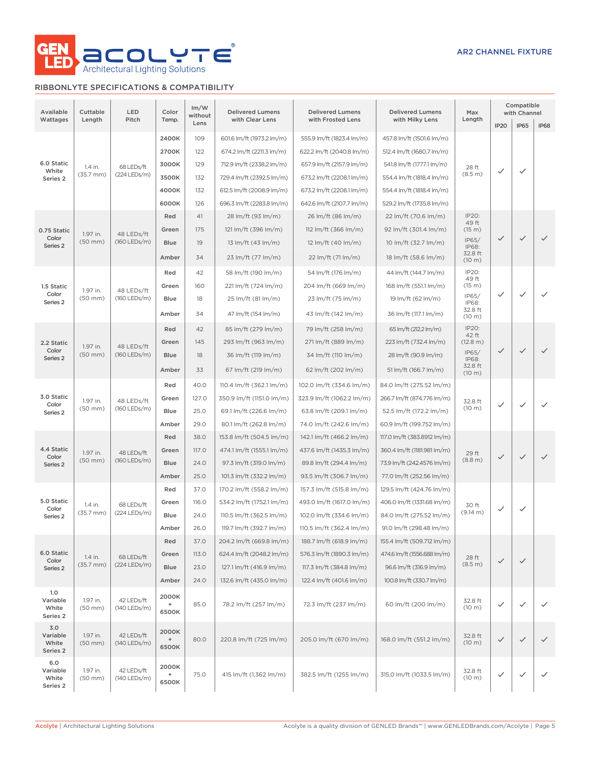

### RIBBONLYTE SPECIFICATIONS & COMPATIBILITY

| Available<br>Wattages                       | Cuttable<br>Length               | LED<br>Pitch                 | Color<br>Temp.                                     | Im/W<br>without<br>Lens                | <b>Delivered Lumens</b><br>with Clear Lens                                                                                                                                 | <b>Delivered Lumens</b><br>with Frosted Lens                                                                                                                               | <b>Delivered Lumens</b><br>with Milky Lens                                                                                                                                 | Max<br>Length                                                     | IP <sub>20</sub> | Compatible<br>with Channel<br><b>IP65</b> | <b>IP68</b>  |
|---------------------------------------------|----------------------------------|------------------------------|----------------------------------------------------|----------------------------------------|----------------------------------------------------------------------------------------------------------------------------------------------------------------------------|----------------------------------------------------------------------------------------------------------------------------------------------------------------------------|----------------------------------------------------------------------------------------------------------------------------------------------------------------------------|-------------------------------------------------------------------|------------------|-------------------------------------------|--------------|
| 6.0 Static<br>White<br>Series 2             | 1.4 in.<br>$(35.7$ mm $)$        | 68 LEDs/ft<br>$(224$ LEDs/m) | 2400K<br>2700K<br>3000K<br>3500K<br>4000K<br>6000K | 109<br>122<br>129<br>132<br>132<br>126 | 601.6 lm/ft (1973.2 lm/m)<br>674.2 lm/ft (2211.3 lm/m)<br>712.9 lm/ft (2338.2 lm/m)<br>729.4 lm/ft (2392.5 lm/m)<br>612.5 lm/ft (2008.9 lm/m)<br>696.3 lm/ft (2283.8 lm/m) | 555.9 lm/ft (1823.4 lm/m)<br>622.2 lm/ft (2040.8 lm/m)<br>657.9 lm/ft (2157.9 lm/m)<br>673.2 lm/ft (2208.1 lm/m)<br>673.2 lm/ft (2208.1 lm/m)<br>642.6 lm/ft (2107.7 lm/m) | 457.8 lm/ft (1501.6 lm/m)<br>512.4 lm/ft (1680.7 lm/m)<br>541.8 lm/ft (1777.1 lm/m)<br>554.4 lm/ft (1818.4 lm/m)<br>554.4 lm/ft (1818.4 lm/m)<br>529.2 lm/ft (1735.8 lm/m) | 28 ft<br>(8.5 m)                                                  | ✓                | $\checkmark$                              |              |
| 0.75 Static<br>Color<br>Series <sub>2</sub> | 1.97 in.<br>$(50$ mm $)$         | 48 LEDs/ft<br>$(160$ LEDs/m) | Red<br>Green<br>Blue<br>Amber                      | 41<br>175<br>19<br>34                  | 28 lm/ft (93 lm/m)<br>121 lm/ft (396 lm/m)<br>13 lm/ft (43 lm/m)<br>23 lm/ft (77 lm/m)                                                                                     | 26 lm/ft (86 lm/m)<br>112 lm/ft (366 lm/m)<br>12 lm/ft (40 lm/m)<br>22 lm/ft (71 lm/m)                                                                                     | 22 lm/ft (70.6 lm/m)<br>92 lm/ft (301.4 lm/m)<br>10 lm/ft (32.7 lm/m)<br>18 lm/ft (58.6 lm/m)                                                                              | IP20:<br>49 ft<br>(15 m)<br>IP65/<br>IP68:<br>32.8 ft<br>(10 m)   | $\checkmark$     | ✓                                         | $\checkmark$ |
| 1.5 Static<br>Color<br>Series <sub>2</sub>  | 1.97 in.<br>$(50$ mm $)$         | 48 LEDs/ft<br>(160 LEDs/m)   | Red<br>Green<br>Blue<br>Amber                      | 42<br>160<br>18<br>34                  | 58 lm/ft (190 lm/m)<br>221 lm/ft (724 lm/m)<br>25 lm/ft (81 lm/m)<br>47 lm/ft (154 lm/m)                                                                                   | 54 lm/ft (176 lm/m)<br>204 lm/ft (669 lm/m)<br>23 lm/ft (75 lm/m)<br>43 lm/ft (142 lm/m)                                                                                   | 44 lm/ft (144.7 lm/m)<br>168 lm/ft (551.1 lm/m)<br>19 lm/ft (62 lm/m)<br>36 lm/ft (117.1 lm/m)                                                                             | IP20:<br>49 ft<br>(15 m)<br>IP65/<br>IP68:<br>32.8 ft<br>(10 m)   | $\checkmark$     | ✓                                         | ✓            |
| 2.2 Static<br>Color<br>Series <sub>2</sub>  | 1.97 in.<br>$(50$ mm $)$         | 48 LEDs/ft<br>$(160$ LEDs/m) | Red<br>Green<br>Blue<br>Amber                      | 42<br>145<br>18<br>33                  | 85 lm/ft (279 lm/m)<br>293 lm/ft (963 lm/m)<br>36 lm/ft (119 lm/m)<br>67 lm/ft (219 lm/m)                                                                                  | 79 lm/ft (258 lm/m)<br>271 lm/ft (889 lm/m)<br>34 lm/ft (110 lm/m)<br>62 lm/ft (202 lm/m)                                                                                  | 65 lm/ft (212.2 lm/m)<br>223 lm/ft (732.4 lm/m)<br>28 lm/ft (90.9 lm/m)<br>51 lm/ft (166.7 lm/m)                                                                           | IP20:<br>42 ft<br>(12.8 m)<br>IP65/<br>IP68:<br>32.8 ft<br>(10 m) | $\checkmark$     | $\checkmark$                              | $\checkmark$ |
| 3.0 Static<br>Color<br>Series <sub>2</sub>  | 1.97 in.<br>$(50$ mm $)$         | 48 LEDs/ft<br>(160 LEDs/m)   | Red<br>Green<br>Blue<br>Amber                      | 40.0<br>127.0<br>25.0<br>29.0          | 110.4 lm/ft (362.1 lm/m)<br>350.9 lm/ft (1151.0 lm/m)<br>69.1 lm/ft (226.6 lm/m)<br>80.1 lm/ft (262.8 lm/m)                                                                | 102.0 lm/ft (334.6 lm/m)<br>323.9 lm/ft (1062.2 lm/m)<br>63.8 lm/ft (209.1 lm/m)<br>74.0 lm/ft (242.6 lm/m)                                                                | 84.0 lm/ft (275.52 lm/m)<br>266.7 lm/ft (874.776 lm/m)<br>52.5 lm/ft (172.2 lm/m)<br>60.9 lm/ft (199.752 lm/m)                                                             | 32.8 ft<br>(10 m)                                                 | $\checkmark$     | $\checkmark$                              | ✓            |
| 4.4 Static<br>Color<br>Series <sub>2</sub>  | 1.97 in.<br>$(50$ mm $)$         | 48 LEDs/ft<br>$(160$ LEDs/m) | Red<br>Green<br>Blue<br>Amber                      | 38.0<br>117.0<br>24.0<br>25.0          | 153.8 lm/ft (504.5 lm/m)<br>474.1 lm/ft (1555.1 lm/m)<br>97.3 lm/ft (319.0 lm/m)<br>101.3 lm/ft (332.2 lm/m)                                                               | 142.1 lm/ft (466.2 lm/m)<br>437.6 lm/ft (1435.3 lm/m)<br>89.8 lm/ft (294.4 lm/m)<br>93.5 lm/ft (306.7 lm/m)                                                                | 117.0 lm/ft (383.8912 lm/m)<br>360.4 lm/ft (1181.981 lm/m)<br>73.9 lm/ft (242.4576 lm/m)<br>77.0 lm/ft (252.56 lm/m)                                                       | 29 ft<br>(8.8 m)                                                  | $\checkmark$     | $\checkmark$                              | $\checkmark$ |
| 5.0 Static<br>Color<br>Series <sub>2</sub>  | 1.4 in.<br>$(35.7 \, \text{mm})$ | 68 LEDs/ft<br>(224 LEDs/m)   | Red<br>Green<br>Blue<br>Amber                      | 37.0<br>116.0<br>24.0<br>26.0          | 170.2 lm/ft (558.2 lm/m)<br>534.2 lm/ft (1752.1 lm/m)<br>110.5 lm/ft (362.5 lm/m)<br>119.7 lm/ft (392.7 lm/m)                                                              | 157.3 lm/ft (515.8 lm/m)<br>493.0 lm/ft (1617.0 lm/m)<br>102.0 lm/ft (334.6 lm/m)<br>110.5 lm/ft (362.4 lm/m)                                                              | 129.5 lm/ft (424.76 lm/m)<br>406.0 lm/ft (1331.68 lm/m)<br>84.0 lm/ft (275.52 lm/m)<br>91.0 lm/ft (298.48 lm/m)                                                            | 30 ft<br>(9.14 m)                                                 | ✓                | ✓                                         |              |
| 6.0 Static<br>Color<br>Series 2             | 1.4 in.<br>$(35.7 \, \text{mm})$ | 68 LEDs/ft<br>(224 LEDs/m)   | Red<br>Green<br>Blue<br>Amber                      | 37.0<br>113.0<br>23.0<br>24.0          | 204.2 lm/ft (669.8 lm/m)<br>624.4 lm/ft (2048.2 lm/m)<br>127.1 lm/ft (416.9 lm/m)<br>132.6 lm/ft (435.0 lm/m)                                                              | 188.7 lm/ft (618.9 lm/m)<br>576.3 lm/ft (1890.3 lm/m)<br>117.3 lm/ft (384.8 lm/m)<br>122.4 lm/ft (401.6 lm/m)                                                              | 155.4 lm/ft (509.712 lm/m)<br>474.6 lm/ft (1556.688 lm/m)<br>96.6 lm/ft (316.9 lm/m)<br>100.8 lm/ft (330.7 lm/m)                                                           | 28 ft<br>(8.5 m)                                                  | $\checkmark$     | $\checkmark$                              |              |
| 1.0<br>Variable<br>White<br>Series 2        | 1.97 in.<br>$(50$ mm $)$         | 42 LEDs/ft<br>(140 LEDs/m)   | 2000K<br>$\begin{array}{c} + \end{array}$<br>6500K | 85.0                                   | 78.2 lm/ft (257 lm/m)                                                                                                                                                      | 72.3 lm/ft (237 lm/m)                                                                                                                                                      | 60 lm/ft (200 lm/m)                                                                                                                                                        | 32.8 ft<br>(10 m)                                                 | $\checkmark$     | ✓                                         | $\checkmark$ |
| 3.0<br>Variable<br>White<br>Series 2        | 1.97 in.<br>$(50$ mm $)$         | 42 LEDs/ft<br>(140 LEDs/m)   | 2000K<br>$\begin{array}{c} + \end{array}$<br>6500K | 80.0                                   | 220.8 lm/ft (725 lm/m)                                                                                                                                                     | 205.0 lm/ft (670 lm/m)                                                                                                                                                     | 168.0 lm/ft (551.2 lm/m)                                                                                                                                                   | 32.8 ft<br>(10 m)                                                 | $\checkmark$     | $\checkmark$                              | $\checkmark$ |
| 6.0<br>Variable<br>White<br>Series 2        | 1.97 in.<br>$(50$ mm $)$         | 42 LEDs/ft<br>(140 LEDs/m)   | 2000K<br>$\bf{+}$<br>6500K                         | 75.0                                   | 415 lm/ft (1,362 lm/m)                                                                                                                                                     | 382.5 lm/ft (1255 lm/m)                                                                                                                                                    | 315.0 lm/ft (1033.5 lm/m)                                                                                                                                                  | 32.8 ft<br>(10 m)                                                 | $\checkmark$     | $\checkmark$                              |              |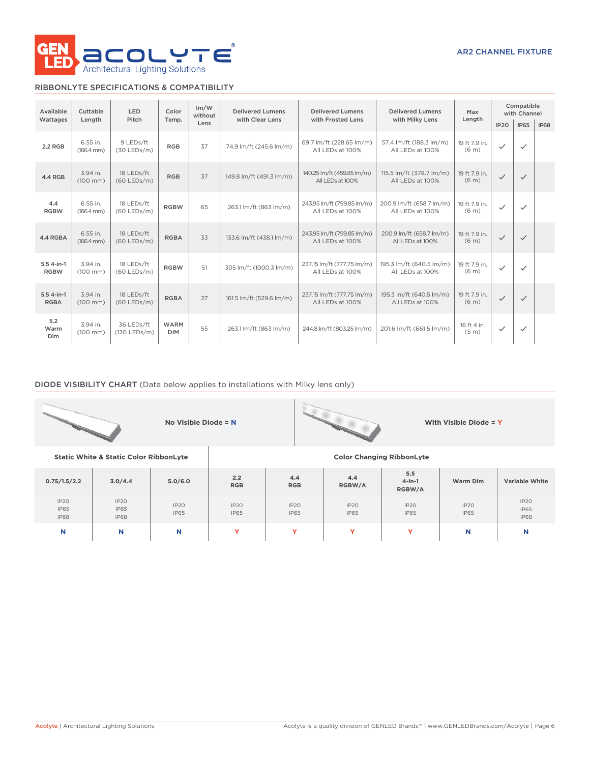

### RIBBONLYTE SPECIFICATIONS & COMPATIBILITY

| Available                   | Cuttable<br><b>LED</b><br>Color    |                             | Im/W<br>without           | <b>Delivered Lumens</b> | <b>Delivered Lumens</b>  | <b>Delivered Lumens</b>                        | Max<br>Length                                | Compatible<br>with Channel         |              |              |             |
|-----------------------------|------------------------------------|-----------------------------|---------------------------|-------------------------|--------------------------|------------------------------------------------|----------------------------------------------|------------------------------------|--------------|--------------|-------------|
| Wattages                    | Length                             | Pitch                       | Temp.                     | Lens                    | with Clear Lens          | with Frosted Lens                              | with Milky Lens                              |                                    | IP20         | <b>IP65</b>  | <b>IP68</b> |
| 2.2 RGB                     | 6.55 in.<br>$(166.4 \, \text{mm})$ | 9 LEDs/ft<br>$(30$ LEDs/m)  | <b>RGB</b>                | 37                      | 74.9 lm/ft (245.6 lm/m)  | 69.7 lm/ft (228.65 lm/m)<br>All LEDs at 100%   | 57.4 lm/ft (188.3 lm/m)<br>All LEDs at 100%  | 19 ft 7.9 in.<br>(6 <sub>m</sub> ) | $\checkmark$ | $\checkmark$ |             |
| 4.4 RGB                     | 3.94 in.<br>$(100 \, \text{mm})$   | 18 LEDs/ft<br>(60 LEDs/m)   | <b>RGB</b>                | 37                      | 149.8 lm/ft (491.3 lm/m) | 140.25 lm/ft (459.85 lm/m)<br>All LEDs at 100% | 115.5 lm/ft (378.7 lm/m)<br>All LEDs at 100% | 19 ft 7.9 in.<br>(6 <sub>m</sub> ) | $\checkmark$ | $\checkmark$ |             |
| 4.4<br><b>RGBW</b>          | 6.55 in.<br>$(166.4 \, \text{mm})$ | 18 LEDs/ft<br>$(60$ LEDs/m) | <b>RGBW</b>               | 65                      | 263.1 lm/ft (863 lm/m)   | 243.95 lm/ft (799.85 lm/m)<br>All LEDs at 100% | 200.9 lm/ft (658.7 lm/m)<br>All LEDs at 100% | 19 ft 7.9 in.<br>(6 <sub>m</sub> ) | ✓            | $\checkmark$ |             |
| 4.4 RGBA                    | 6.55 in.<br>$(166.4 \, \text{mm})$ | 18 LEDs/ft<br>(60 LEDs/m)   | <b>RGBA</b>               | 33                      | 133.6 lm/ft (438.1 lm/m) | 243.95 lm/ft (799.85 lm/m)<br>All LEDs at 100% | 200.9 lm/ft (658.7 lm/m)<br>All LEDs at 100% | 19 ft 7.9 in.<br>(6 <sub>m</sub> ) | $\checkmark$ | $\checkmark$ |             |
| $5.54$ -in-1<br><b>RGBW</b> | 3.94 in.<br>$(100 \, \text{mm})$   | 18 LEDs/ft<br>(60 LEDs/m)   | <b>RGBW</b>               | 51                      | 305 lm/ft (1000.3 lm/m)  | 237.15 lm/ft (777.75 lm/m)<br>All LEDs at 100% | 195.3 lm/ft (640.5 lm/m)<br>All LEDs at 100% | 19 ft 7.9 in.<br>(6 <sub>m</sub> ) | $\checkmark$ | $\checkmark$ |             |
| $5.54$ -in-1<br><b>RGBA</b> | 3.94 in.<br>$(100 \, \text{mm})$   | 18 LEDs/ft<br>$(60$ LEDs/m) | <b>RGBA</b>               | 27                      | 161.5 lm/ft (529.6 lm/m) | 237.15 lm/ft (777.75 lm/m)<br>All LEDs at 100% | 195.3 lm/ft (640.5 lm/m)<br>All LEDs at 100% | 19 ft 7.9 in.<br>(6 <sub>m</sub> ) | $\checkmark$ | $\checkmark$ |             |
| 5.2<br>Warm<br>Dim          | 3.94 in.<br>$(100 \, \text{mm})$   | 36 LEDs/ft<br>(120 LEDs/m)  | <b>WARM</b><br><b>DIM</b> | 55                      | 263.1 lm/ft (863 lm/m)   | 244.8 lm/ft (803.25 lm/m)                      | 201.6 lm/ft (661.5 lm/m)                     | 16 ft 4 in.<br>(5 <sub>m</sub> )   | $\checkmark$ | $\checkmark$ |             |

### DIODE VISIBILITY CHART (Data below applies to installations with Milky lens only)

|                                    |                                                   | No Visible Diode = N |                     |                                  |                     |                            | With Visible Diode = $Y$ |                                    |
|------------------------------------|---------------------------------------------------|----------------------|---------------------|----------------------------------|---------------------|----------------------------|--------------------------|------------------------------------|
|                                    | <b>Static White &amp; Static Color RibbonLyte</b> |                      |                     | <b>Color Changing RibbonLyte</b> |                     |                            |                          |                                    |
| 0.75/1.5/2.2                       | 3.0/4.4                                           | 5.0/6.0              | 2.2<br><b>RGB</b>   | 4.4<br><b>RGB</b>                | 4.4<br>RGBW/A       | 5.5<br>$4$ -in-1<br>RGBW/A | Warm Dim                 | <b>Variable White</b>              |
| IP20<br><b>IP65</b><br><b>IP68</b> | IP2O<br><b>IP65</b><br>IP68                       | IP2O<br><b>IP65</b>  | IP2O<br><b>IP65</b> | IP20<br><b>IP65</b>              | IP20<br><b>IP65</b> | IP2O<br><b>IP65</b>        | IP2O<br><b>IP65</b>      | IP2O<br><b>IP65</b><br><b>IP68</b> |
| N                                  | N                                                 | N                    | Y                   | Y                                | Y                   | Y                          | N                        | N                                  |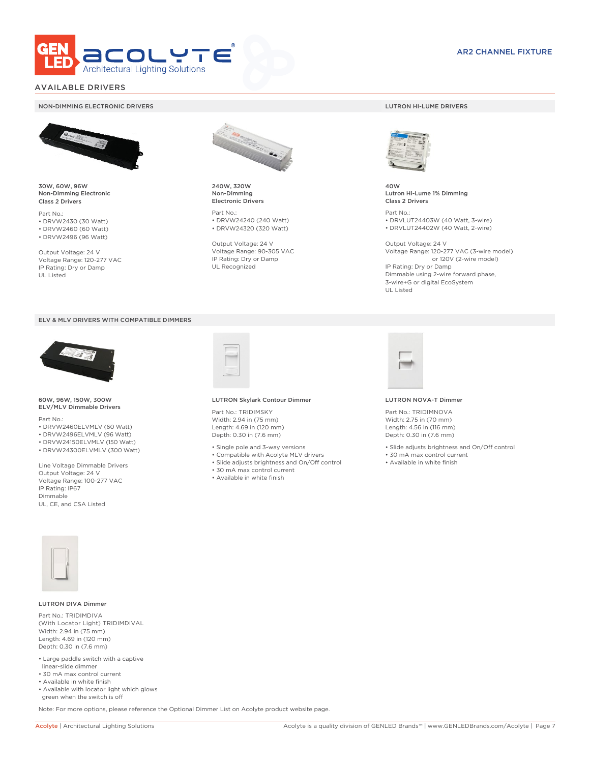

### AVAILABLE DRIVERS

#### NON-DIMMING ELECTRONIC DRIVERS LUTRON HI-LUME DRIVERS



30W, 60W, 96W Non-Dimming Electronic Class 2 Drivers

Part No.: • DRVW2430 (30 Watt) • DRVW2460 (60 Watt)

• DRVW2496 (96 Watt)

Output Voltage: 24 V Voltage Range: 120-277 VAC IP Rating: Dry or Damp UL Listed





60W, 96W, 150W, 300W ELV/MLV Dimmable Drivers

Part No.:

- DRVW2460ELVMLV (60 Watt)
- DRVW2496ELVMLV (96 Watt)
- DRVW24150ELVMLV (150 Watt)
- DRVW24300ELVMLV (300 Watt)

Line Voltage Dimmable Drivers Output Voltage: 24 V Voltage Range: 100-277 VAC IP Rating: IP67 Dimmable UL, CE, and CSA Listed



240W, 320W Non-Dimming Electronic Drivers

Part No.: • DRVW24240 (240 Watt) • DRVW24320 (320 Watt)

Output Voltage: 24 V Voltage Range: 90-305 VAC IP Rating: Dry or Damp UL Recognized



40W Lutron Hi-Lume 1% Dimming Class 2 Drivers

Part No.: • DRVLUT24403W (40 Watt, 3-wire) • DRVLUT24402W (40 Watt, 2-wire)

Output Voltage: 24 V Voltage Range: 120-277 VAC (3-wire model) or 120V (2-wire model) IP Rating: Dry or Damp Dimmable using 2-wire forward phase, 3-wire+G or digital EcoSystem UL Listed



#### LUTRON Skylark Contour Dimmer

Part No.: TRIDIMSKY Width: 2.94 in (75 mm) Length: 4.69 in (120 mm) Depth: 0.30 in (7.6 mm)

- Single pole and 3-way versions
- Compatible with Acolyte MLV drivers
- Slide adjusts brightness and On/Off control
- 30 mA max control current
- Available in white finish



#### LUTRON NOVA-T Dimmer

Part No.: TRIDIMNOVA Width: 2.75 in (70 mm) Length: 4.56 in (116 mm) Depth: 0.30 in (7.6 mm)

- Slide adjusts brightness and On/Off control
- 30 mA max control current
- Available in white finish



#### LUTRON DIVA Dimmer

Part No.: TRIDIMDIVA (With Locator Light) TRIDIMDIVAL Width: 2.94 in (75 mm) Length: 4.69 in (120 mm) Depth: 0.30 in (7.6 mm)

- Large paddle switch with a captive linear-slide dimmer
- 30 mA max control current
- Available in white finish
- Available with locator light which glows green when the switch is off

Note: For more options, please reference the Optional Dimmer List on Acolyte product website page.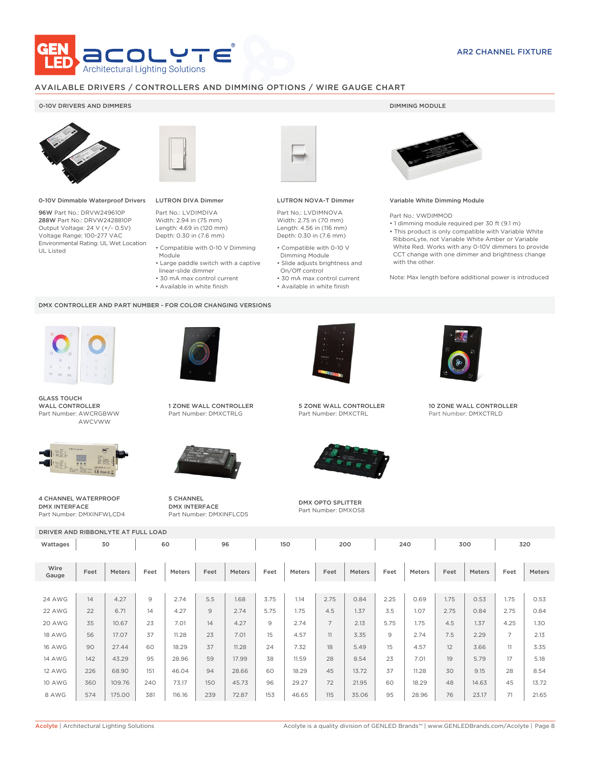

### AVAILABLE DRIVERS / CONTROLLERS AND DIMMING OPTIONS / WIRE GAUGE CHART

### 0-10V DRIVERS AND DIMMERS **DIMMING MODULE**



0-10V Dimmable Waterproof Drivers

96W Part No.: DRVW249610P 288W Part No.: DRVW2428810P Output Voltage: 24 V (+/- 0.5V) Voltage Range: 100-277 VAC Environmental Rating: UL Wet Location UL Listed



## LUTRON DIVA Dimmer

Part No.: LVDIMDIVA Width: 2.94 in (75 mm) Length: 4.69 in (120 mm) Depth: 0.30 in (7.6 mm)

- Compatible with 0-10 V Dimming Module
- Large paddle switch with a captive
- linear-slide dimmer • 30 mA max control current
	-
- Available in white finish

#### DMX CONTROLLER AND PART NUMBER - FOR COLOR CHANGING VERSIONS



GLASS TOUCH WALL CONTROLLER Part Number: AWCRGBWW AWCVWW



4 CHANNEL WATERPROOF DMX INTERFACE Part Number: DMXINFWLCD4



1 ZONE WALL CONTROLLER Part Number: DMXCTRLG



5 CHANNEL DMX INTERFACE Part Number: DMXINFLCD5



### LUTRON NOVA-T Dimmer

Part No.: LVDIMNOVA Width: 2.75 in (70 mm) Length: 4.56 in (116 mm) Depth: 0.30 in (7.6 mm)

- Compatible with 0-10 V Dimming Module
- Slide adjusts brightness and On/Off control
- 30 mA max control current • Available in white finish
	-



#### Variable White Dimming Module

Part No.: VWDIMMOD

• 1 dimming module required per 30 ft (9.1 m) • This product is only compatible with Variable White RibbonLyte, not Variable White Amber or Variable White Red. Works with any 0-10V dimmers to provide CCT change with one dimmer and brightness change with the other.

Note: Max length before additional power is introduced



5 ZONE WALL CONTROLLER Part Number: DMXCTRL



DMX OPTO SPLITTER Part Number: DMXOS8



10 ZONE WALL CONTROLLER Part Number: DMXCTRLD

DRIVER AND RIBBONLYTE AT FULL LOAD Wattages 30 | 60 | 96 | 150 | 200 | 240 | 300 | 320 Wire Gauge Feet Meters Feet Meters Feet Meters Feet Meters Feet Meters Feet Meters Feet Meters Feet Meters 24 AWG | 14 | 4.27 | 9 | 2.74 | 5.5 | 1.68 | 3.75 | 1.14 | 2.75 | 0.84 | 2.25 | 0.69 | 1.75 | 0.53 | 1.75 | 0.53 22 AWG | 22 | 6.71 | 14 | 4.27 | 9 | 2.74 | 5.75 | 1.75 | 4.5 | 1.37 | 3.5 | 1.07 | 2.75 | 0.84 | 2.75 | 0.84 20 AWG | 35 | 10.67 | 23 | 7.01 | 14 | 4.27 | 9 | 2.74 | 7 | 2.13 | 5.75 | 1.75 | 4.5 | 1.37 | 4.25 | 1.30 18 AWG | 56 | 17.07 | 37 | 11.28 | 23 | 7.01 | 15 | 4.57 | 11 | 3.35 | 9 | 2.74 | 7.5 | 2.29 | 7 | 2.13 16 AWG | 90 | 27.44 | 60 | 18.29 | 37 | 11.28 | 24 | 7.32 | 18 | 5.49 | 15 | 4.57 | 12 | 3.66 | 11 | 3.35 14 AWG | 142 | 43.29 | 95 | 28.96 | 59 | 17.99 | 38 | 11.59 | 28 | 8.54 | 23 | 7.01 | 19 | 5.79 | 17 | 5.18 12 AWG | 226 | 68.90 | 151 | 46.04 | 94 | 28.66 | 60 | 18.29 | 45 | 13.72 | 37 | 11.28 | 30 | 9.15 | 28 | 8.54 10 AWG | 360 | 109.76 | 240 | 73.17 | 150 | 45.73 | 96 | 29.27 | 72 | 21.95 | 60 | 18.29 | 48 | 14.63 | 45 | 13.72 8 AWG | 574 | 175.00 | 381 | 116.16 | 239 | 72.87 | 153 | 46.65 | 115 | 35.06 | 95 | 28.96 | 76 | 23.17 | 71 | 21.65